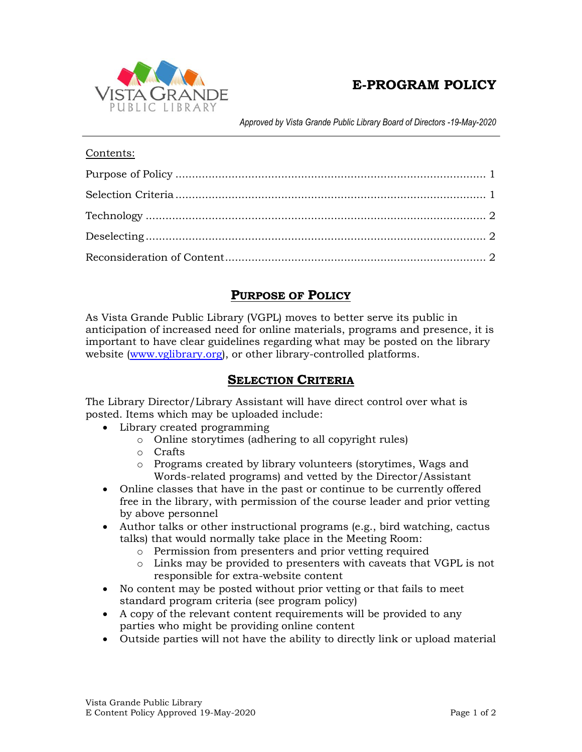

# **E-PROGRAM POLICY**

*Approved by Vista Grande Public Library Board of Directors -19-May-2020*

#### Contents:

# **PURPOSE OF POLICY**

<span id="page-0-0"></span>As Vista Grande Public Library (VGPL) moves to better serve its public in anticipation of increased need for online materials, programs and presence, it is important to have clear guidelines regarding what may be posted on the library website [\(www.vglibrary.org\)](http://www.vglibrary.org/), or other library-controlled platforms.

# **SELECTION CRITERIA**

<span id="page-0-1"></span>The Library Director/Library Assistant will have direct control over what is posted. Items which may be uploaded include:

- Library created programming
	- o Online storytimes (adhering to all copyright rules)
	- o Crafts
	- o Programs created by library volunteers (storytimes, Wags and Words-related programs) and vetted by the Director/Assistant
- Online classes that have in the past or continue to be currently offered free in the library, with permission of the course leader and prior vetting by above personnel
- Author talks or other instructional programs (e.g., bird watching, cactus talks) that would normally take place in the Meeting Room:
	- o Permission from presenters and prior vetting required
	- o Links may be provided to presenters with caveats that VGPL is not responsible for extra-website content
- No content may be posted without prior vetting or that fails to meet standard program criteria (see program policy)
- A copy of the relevant content requirements will be provided to any parties who might be providing online content
- Outside parties will not have the ability to directly link or upload material